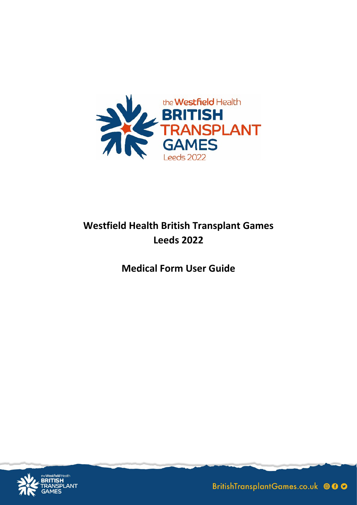

## **Westfield Health British Transplant Games Leeds 2022**

**Medical Form User Guide**



BritishTransplantGames.co.uk © 00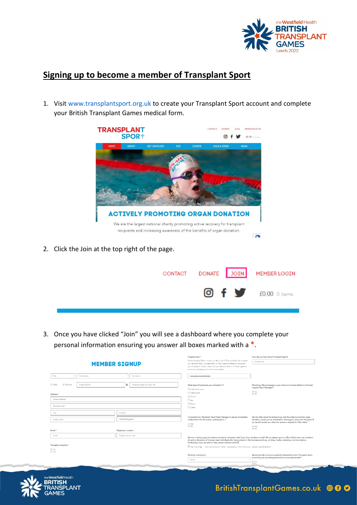

## **Signing up to become a member of Transplant Sport**

1. Visi[t www.transplantsport.org.uk](http://www.transplantsport.org.uk/) to create your Transplant Sport account and complete your British Transplant Games medical form.



2. Click the Join at the top right of the page.

|  | CONTACT DONATE JOIN MEMBER LOGIN  |  |
|--|-----------------------------------|--|
|  | <b>O</b> f <b>y</b> f0.00 0 items |  |

3. Once you have clicked "Join" you will see a dashboard where you complete your personal information ensuring you answer all boxes marked with a \*.

|                                      |                                         | Hospital team *                                                                                                                                                                                                                                                      | How did you hear about Transplant Sport?                                                                                                                                                                                   |  |
|--------------------------------------|-----------------------------------------|----------------------------------------------------------------------------------------------------------------------------------------------------------------------------------------------------------------------------------------------------------------------|----------------------------------------------------------------------------------------------------------------------------------------------------------------------------------------------------------------------------|--|
|                                      | <b>MEMBER SIGNUP</b>                    | Which hospital Team would you like to join? This could be the hospital<br>you receive follow up treatment, or the hospital where you received<br>your tranplant. Please make sure you check Adult or Children options<br>so we can allocate you to the correct team. | Choose one                                                                                                                                                                                                                 |  |
| Title<br>First name                  | Surname                                 | Choose a hospital team                                                                                                                                                                                                                                               |                                                                                                                                                                                                                            |  |
| O Male<br>O Female<br>Date of birth  | Parents name (if under 18)<br><b>IF</b> | What type of events are you interested in?<br>$\Box$ Individual sport                                                                                                                                                                                                | Would you like us to pass on your name and contact details to the local<br>hospital Team Manager?*<br>O Yes                                                                                                                |  |
| Address <sup>*</sup>                 |                                         | <b>D</b> Team sport                                                                                                                                                                                                                                                  | O No                                                                                                                                                                                                                       |  |
| Street address                       |                                         | $\Box$ Social<br>$\Box$ Art                                                                                                                                                                                                                                          |                                                                                                                                                                                                                            |  |
|                                      |                                         | <b>D</b> Music                                                                                                                                                                                                                                                       |                                                                                                                                                                                                                            |  |
| Address line 2                       |                                         | <b>D</b> Other                                                                                                                                                                                                                                                       |                                                                                                                                                                                                                            |  |
| City                                 | County                                  |                                                                                                                                                                                                                                                                      |                                                                                                                                                                                                                            |  |
| <b>United Kingdom</b><br>Postal code |                                         | I consent to my Transplant Sport Team Manager to see my completed<br>medical form for the events I participate in. *                                                                                                                                                 | We are often asked for stories to go into the press to promote organ<br>donation, would you be interested in sharing your story with the press? If<br>so, we will contact you when we receive a request for information. * |  |
|                                      |                                         | O Yes<br>O No                                                                                                                                                                                                                                                        | O Yes                                                                                                                                                                                                                      |  |
| Email *                              | Telephone number*                       |                                                                                                                                                                                                                                                                      | $\bigcirc$ No                                                                                                                                                                                                              |  |
| Email                                | Telephone number                        |                                                                                                                                                                                                                                                                      | We are a charity supported almost entirely by volunteers with 3 part time members of staff. We are always open to offers of help from our members.                                                                         |  |
|                                      |                                         | As well as donations of time we need individuals who have contacts in the business world eq printing, media, marketing, communications,<br>fundraising. If you are able to help, please indicate below;                                                              |                                                                                                                                                                                                                            |  |
| Transplant recipient *               |                                         | Nes I can help - I have connections / skills / experience in the following (please specify below)                                                                                                                                                                    |                                                                                                                                                                                                                            |  |
| O Yes<br>O No                        |                                         |                                                                                                                                                                                                                                                                      |                                                                                                                                                                                                                            |  |
|                                      |                                         | Ethnicity monitoring *                                                                                                                                                                                                                                               | Would you like to receive quarterly eNewsletters from Transplant Sport.                                                                                                                                                    |  |
|                                      |                                         | White                                                                                                                                                                                                                                                                | promoting our upcoming events and our success stories? *                                                                                                                                                                   |  |
|                                      |                                         |                                                                                                                                                                                                                                                                      | O Yes                                                                                                                                                                                                                      |  |

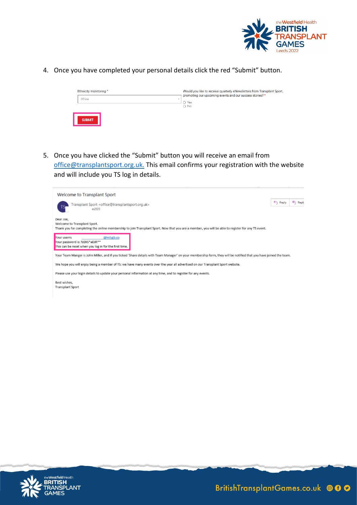

4. Once you have completed your personal details click the red "Submit" button.

| Ethnicity monitoring * |               | Would you like to receive quarterly eNewsletters from Transplant Sport,<br>promoting our upcoming events and our success stories? * |  |  |  |
|------------------------|---------------|-------------------------------------------------------------------------------------------------------------------------------------|--|--|--|
|                        | White         | O Yes<br>$\bigcirc$ No                                                                                                              |  |  |  |
|                        | <b>SUBMIT</b> |                                                                                                                                     |  |  |  |

5. Once you have clicked the "Submit" button you will receive an email from [office@transplantsport.org.uk.](mailto:office@transplantsport.org.uk) This email confirms your registration with the website and will include you TS log in details.



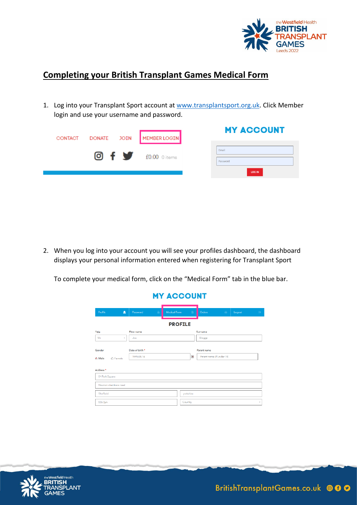

## **Completing your British Transplant Games Medical Form**

1. Log into your Transplant Sport account at [www.transplantsport.org.uk.](http://www.transplantsport.org.uk/) Click Member login and use your username and password.

| CONTACT | DONATE JOIN MEMBER LOGIN   | <b>MY ACCOUNT</b> |
|---------|----------------------------|-------------------|
|         | <b>O</b> f f f0.00 0 items | Email<br>Password |
|         |                            | <b>LOG IN</b>     |

2. When you log into your account you will see your profiles dashboard, the dashboard displays your personal information entered when registering for Transplant Sport

To complete your medical form, click on the "Medical Form" tab in the blue bar.

## **MY ACCOUNT**

| Profile                                              | Δ              | Password                      | A | Medical Form | B         | Orders                                   | $\frac{1}{2}$ | Logout | $\mathbb{R}^n$ |
|------------------------------------------------------|----------------|-------------------------------|---|--------------|-----------|------------------------------------------|---------------|--------|----------------|
|                                                      | <b>PROFILE</b> |                               |   |              |           |                                          |               |        |                |
| Title                                                |                | <b>First name</b>             |   |              |           | Surname                                  |               |        |                |
| Mr.                                                  | $\tau$         | 108                           |   |              |           | Bloggs                                   |               |        |                |
| Gender<br>® Male<br>O Female<br>Address <sup>*</sup> |                | Date of birth *<br>1995-08-14 |   |              | E.        | Parent name<br>Parent name (if under 18) |               |        |                |
| 04 Park Square                                       |                |                               |   |              |           |                                          |               |        |                |
| Newton chambers road                                 |                |                               |   |              |           |                                          |               |        |                |
| Shaffield                                            |                |                               |   |              | yorkshire |                                          |               |        |                |
| S35 2ph                                              |                |                               |   |              | Country   |                                          |               |        | ٠              |

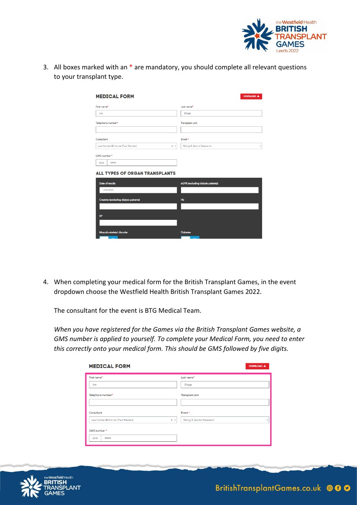

3. All boxes marked with an \* are mandatory, you should complete all relevant questions to your transplant type.

| <b>MEDICAL FORM</b>                                                         | DOWNLOAD &                         |
|-----------------------------------------------------------------------------|------------------------------------|
| First name*                                                                 | Last name*                         |
| Joe                                                                         | Bloggs                             |
| Telephone number*                                                           | Transplant unit                    |
| Consultant                                                                  | Event*                             |
| paul, harden@nhs.net (Paul Harden)<br>$x -$                                 | Skiing & Sports Weekend<br>٠       |
| GMS number*<br><b>GMS</b><br>99999<br><b>ALL TYPES OF ORGAN TRANSPLANTS</b> |                                    |
| Date of results                                                             | eGFR (excluding dialysis patients) |
| 12/04/2022                                                                  |                                    |
| Creatine (excluding dialysis patients)                                      | HЬ                                 |
| <b>BP</b>                                                                   |                                    |
|                                                                             |                                    |
| Musculo-skeletal disorder                                                   | <b>Diabetes</b>                    |

4. When completing your medical form for the British Transplant Games, in the event dropdown choose the Westfield Health British Transplant Games 2022.

The consultant for the event is BTG Medical Team.

*When you have registered for the Games via the British Transplant Games website, a GMS number is applied to yourself. To complete your Medical Form, you need to enter this correctly onto your medical form. This should be GMS followed by five digits.*

| <b>MEDICAL FORM</b>                                      | DOWNLOAD &                             |
|----------------------------------------------------------|----------------------------------------|
| First name*<br>Joe                                       | Last name*<br>Bloggs                   |
| Telephone number*                                        | Transplant unit                        |
| Consultant<br>paul.harden@nhs.net (Paul Harden)<br>$x -$ | Event*<br>Skiing & Sports Weekend<br>v |
| GMS number*<br>GMS<br>99999                              |                                        |